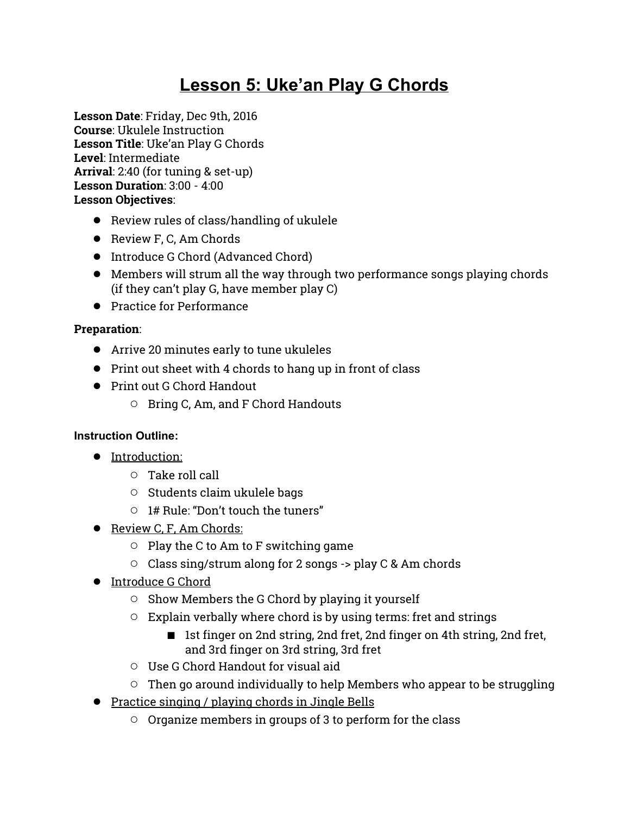# **Lesson 5: Uke'an Play G Chords**

**Lesson Date**: Friday, Dec 9th, 2016 **Course**: Ukulele Instruction **Lesson Title**: Uke'an Play G Chords **Level**: Intermediate **Arrival**: 2:40 (for tuning & set-up) **Lesson Duration**: 3:00 - 4:00 **Lesson Objectives**:

- Review rules of class/handling of ukulele
- Review F, C, Am Chords
- Introduce G Chord (Advanced Chord)
- Members will strum all the way through two performance songs playing chords (if they can't play G, have member play C)
- Practice for Performance

### **Preparation**:

- Arrive 20 minutes early to tune ukuleles
- Print out sheet with 4 chords to hang up in front of class
- Print out G Chord Handout
	- Bring C, Am, and F Chord Handouts

#### **Instruction Outline:**

- Introduction:
	- Take roll call
	- Students claim ukulele bags
	- 1# Rule: "Don't touch the tuners"
- Review C, F, Am Chords:
	- $\circ$  Play the C to Am to F switching game
	- Class sing/strum along for 2 songs -> play C & Am chords
- Introduce G Chord
	- Show Members the G Chord by playing it yourself
	- Explain verbally where chord is by using terms: fret and strings
		- 1st finger on 2nd string, 2nd fret, 2nd finger on 4th string, 2nd fret, and 3rd finger on 3rd string, 3rd fret
	- Use G Chord Handout for visual aid
	- $\circ$  Then go around individually to help Members who appear to be struggling
- Practice singing / playing chords in Jingle Bells
	- Organize members in groups of 3 to perform for the class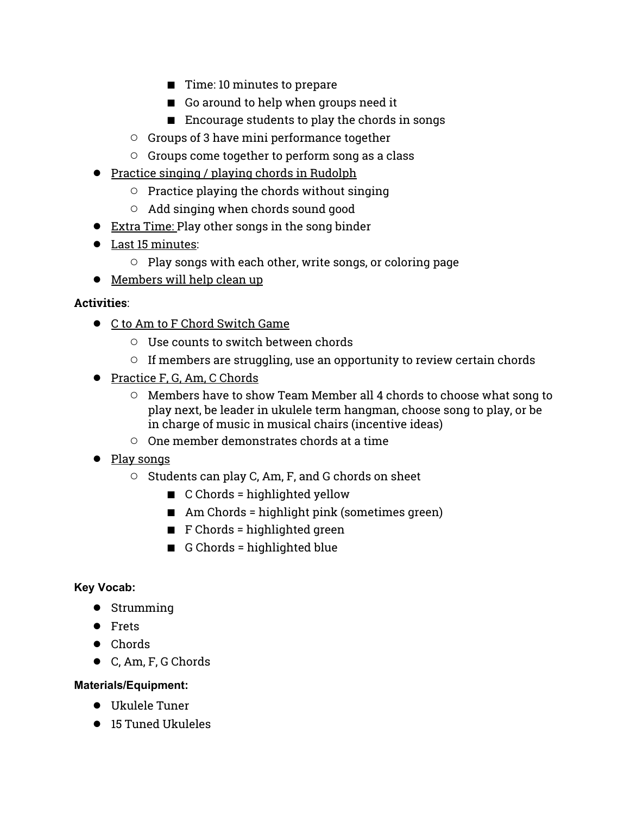- Time: 10 minutes to prepare
- Go around to help when groups need it
- Encourage students to play the chords in songs
- Groups of 3 have mini performance together
- Groups come together to perform song as a class
- Practice singing / playing chords in Rudolph
	- Practice playing the chords without singing
	- Add singing when chords sound good
- Extra Time: Play other songs in the song binder
- Last 15 minutes:
	- Play songs with each other, write songs, or coloring page
- Members will help clean up

#### **Activities**:

- C to Am to F Chord Switch Game
	- Use counts to switch between chords
	- $\circ$  If members are struggling, use an opportunity to review certain chords
- Practice F, G, Am, C Chords
	- Members have to show Team Member all 4 chords to choose what song to play next, be leader in ukulele term hangman, choose song to play, or be in charge of music in musical chairs (incentive ideas)
	- One member demonstrates chords at a time
- Play songs
	- Students can play C, Am, F, and G chords on sheet
		- C Chords = highlighted yellow
		- $\blacksquare$  Am Chords = highlight pink (sometimes green)
		- F Chords = highlighted green
		- G Chords = highlighted blue

#### **Key Vocab:**

- Strumming
- Frets
- Chords
- C, Am, F, G Chords

#### **Materials/Equipment:**

- Ukulele Tuner
- 15 Tuned Ukuleles